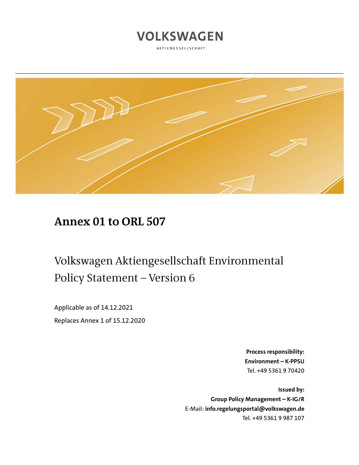

AKTIENGESELLSCHAFT



### **Annex 01 to ORL 507**

# Volkswagen Aktiengesellschaft Environmental Policy Statement – Version 6

Applicable as of 14.12.2021 Replaces Annex 1 of 15.12.2020

> **Process responsibility: Environment – K-PPSU** Tel. +49 5361 9 70420

**Issued by: Group Policy Management – K-IG/R** E-Mail: **info.regelungsportal@volkswagen.de** Tel. +49 5361 9 987 107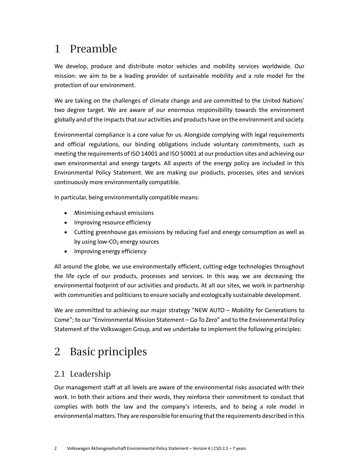## 1 Preamble

We develop, produce and distribute motor vehicles and mobility services worldwide. Our mission: we aim to be a leading provider of sustainable mobility and a role model for the protection of our environment.

We are taking on the challenges of climate change and are committed to the United Nations' two degree target. We are aware of our enormous responsibility towards the environment globally and of the impacts that our activities and products have on the environment and society.

Environmental compliance is a core value for us. Alongside complying with legal requirements and official regulations, our binding obligations include voluntary commitments, such as meeting the requirements of ISO 14001 and ISO 50001 at our production sites and achieving our own environmental and energy targets. All aspects of the energy policy are included in this Environmental Policy Statement. We are making our products, processes, sites and services continuously more environmentally compatible.

In particular, being environmentally compatible means:

- Minimising exhaust emissions
- Improving resource efficiency
- Cutting greenhouse gas emissions by reducing fuel and energy consumption as well as by using low- $CO<sub>2</sub>$  energy sources
- Improving energy efficiency

All around the globe, we use environmentally efficient, cutting-edge technologies throughout the life cycle of our products, processes and services. In this way, we are decreasing the environmental footprint of our activities and products. At all our sites, we work in partnership with communities and politicians to ensure socially and ecologically sustainable development.

We are committed to achieving our major strategy "NEW AUTO – Mobility for Generations to Come"; to our "Environmental Mission Statement – Go To Zero" and to the Environmental Policy Statement of the Volkswagen Group, and we undertake to implement the following principles:

# 2 Basic principles

### 2.1 Leadership

Our management staff at all levels are aware of the environmental risks associated with their work. In both their actions and their words, they reinforce their commitment to conduct that complies with both the law and the company's interests, and to being a role model in environmental matters. They are responsible for ensuring that the requirements described in this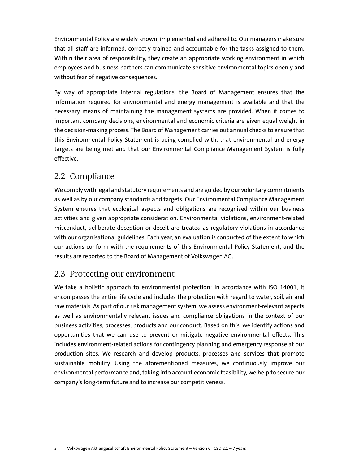Environmental Policy are widely known, implemented and adhered to. Our managers make sure that all staff are informed, correctly trained and accountable for the tasks assigned to them. Within their area of responsibility, they create an appropriate working environment in which employees and business partners can communicate sensitive environmental topics openly and without fear of negative consequences.

By way of appropriate internal regulations, the Board of Management ensures that the information required for environmental and energy management is available and that the necessary means of maintaining the management systems are provided. When it comes to important company decisions, environmental and economic criteria are given equal weight in the decision-making process. The Board of Management carries out annual checks to ensure that this Environmental Policy Statement is being complied with, that environmental and energy targets are being met and that our Environmental Compliance Management System is fully effective.

#### 2.2 Compliance

We comply with legal and statutory requirements and are guided by our voluntary commitments as well as by our company standards and targets. Our Environmental Compliance Management System ensures that ecological aspects and obligations are recognised within our business activities and given appropriate consideration. Environmental violations, environment-related misconduct, deliberate deception or deceit are treated as regulatory violations in accordance with our organisational guidelines. Each year, an evaluation is conducted of the extent to which our actions conform with the requirements of this Environmental Policy Statement, and the results are reported to the Board of Management of Volkswagen AG.

### 2.3 Protecting our environment

We take a holistic approach to environmental protection: In accordance with ISO 14001, it encompasses the entire life cycle and includes the protection with regard to water, soil, air and raw materials. As part of our risk management system, we assess environment-relevant aspects as well as environmentally relevant issues and compliance obligations in the context of our business activities, processes, products and our conduct. Based on this, we identify actions and opportunities that we can use to prevent or mitigate negative environmental effects. This includes environment-related actions for contingency planning and emergency response at our production sites. We research and develop products, processes and services that promote sustainable mobility. Using the aforementioned measures, we continuously improve our environmental performance and, taking into account economic feasibility, we help to secure our company's long-term future and to increase our competitiveness.